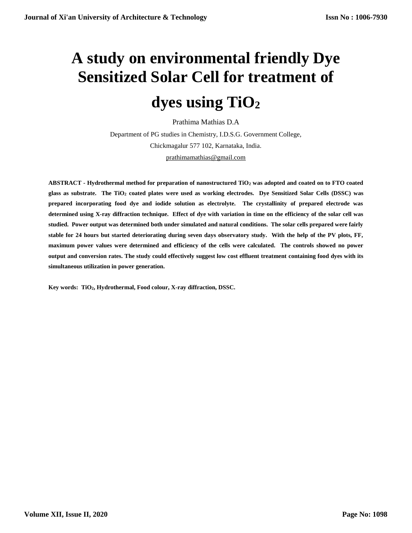# **A study on environmental friendly Dye Sensitized Solar Cell for treatment of dyes using TiO<sup>2</sup>**

Prathima Mathias D.A

Department of PG studies in Chemistry, I.D.S.G. Government College, Chickmagalur 577 102, Karnataka, India. [prathimamathias@gmail.com](mailto:prathimamathias@gmail.com)

**ABSTRACT - Hydrothermal method for preparation of nanostructured TiO<sup>2</sup> was adopted and coated on to FTO coated glass as substrate. The TiO<sup>2</sup> coated plates were used as working electrodes. Dye Sensitized Solar Cells (DSSC) was prepared incorporating food dye and iodide solution as electrolyte. The crystallinity of prepared electrode was determined using X-ray diffraction technique. Effect of dye with variation in time on the efficiency of the solar cell was studied. Power output was determined both under simulated and natural conditions. The solar cells prepared were fairly stable for 24 hours but started deteriorating during seven days observatory study. With the help of the PV plots, FF, maximum power values were determined and efficiency of the cells were calculated. The controls showed no power output and conversion rates. The study could effectively suggest low cost effluent treatment containing food dyes with its simultaneous utilization in power generation.**

**Key words: TiO2, Hydrothermal, Food colour, X-ray diffraction, DSSC.**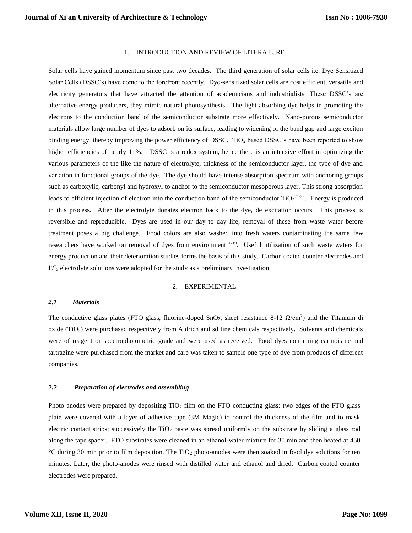# 1. INTRODUCTION AND REVIEW OF LITERATURE

Solar cells have gained momentum since past two decades. The third generation of solar cells i.e. Dye Sensitized Solar Cells (DSSC's) have come to the forefront recently. Dye-sensitized solar cells are cost efficient, versatile and electricity generators that have attracted the attention of academicians and industrialists. These DSSC's are alternative energy producers, they mimic natural photosynthesis. The light absorbing dye helps in promoting the electrons to the conduction band of the semiconductor substrate more effectively. Nano-porous semiconductor materials allow large number of dyes to adsorb on its surface, leading to widening of the band gap and large exciton binding energy, thereby improving the power efficiency of DSSC. TiO<sub>2</sub> based DSSC's have been reported to show higher efficiencies of nearly 11%. DSSC is a redox system, hence there is an intensive effort in optimizing the various parameters of the like the nature of electrolyte, thickness of the semiconductor layer, the type of dye and variation in functional groups of the dye. The dye should have intense absorption spectrum with anchoring groups such as carboxylic, carbonyl and hydroxyl to anchor to the semiconductor mesoporous layer. This strong absorption leads to efficient injection of electron into the conduction band of the semiconductor  $TiO_2^{21-22}$ . Energy is produced in this process. After the electrolyte donates electron back to the dye, de excitation occurs. This process is reversible and reproducible. Dyes are used in our day to day life, removal of these from waste water before treatment poses a big challenge. Food colors are also washed into fresh waters contaminating the same few researchers have worked on removal of dyes from environment 1-19. Useful utilization of such waste waters for energy production and their deterioration studies forms the basis of this study. Carbon coated counter electrodes and I<sup>-</sup>/I<sub>3</sub> electrolyte solutions were adopted for the study as a preliminary investigation.

#### 2. EXPERIMENTAL

#### *2.1 Materials*

The conductive glass plates (FTO glass, fluorine-doped SnO<sub>2</sub>, sheet resistance 8-12  $\Omega/cm^2$ ) and the Titanium di  $o$ xide (TiO<sub>2</sub>) were purchased respectively from Aldrich and sd fine chemicals respectively. Solvents and chemicals were of reagent or spectrophotometric grade and were used as received. Food dyes containing carmoisine and tartrazine were purchased from the market and care was taken to sample one type of dye from products of different companies.

### *2.2 Preparation of electrodes and assembling*

Photo anodes were prepared by depositing  $TiO<sub>2</sub>$  film on the FTO conducting glass: two edges of the FTO glass plate were covered with a layer of adhesive tape (3M Magic) to control the thickness of the film and to mask electric contact strips; successively the  $TiO<sub>2</sub>$  paste was spread uniformly on the substrate by sliding a glass rod along the tape spacer. FTO substrates were cleaned in an ethanol-water mixture for 30 min and then heated at 450  $°C$  during 30 min prior to film deposition. The TiO<sub>2</sub> photo-anodes were then soaked in food dye solutions for ten minutes. Later, the photo-anodes were rinsed with distilled water and ethanol and dried. Carbon coated counter electrodes were prepared.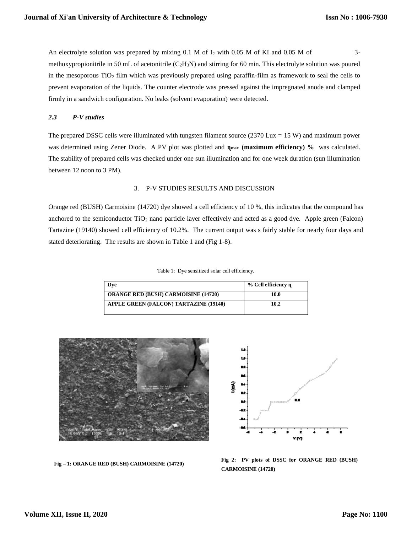An electrolyte solution was prepared by mixing  $0.1 \text{ M}$  of  $I_2$  with 0.05 M of KI and 0.05 M of 3methoxypropionitrile in 50 mL of acetonitrile ( $C_2H_3N$ ) and stirring for 60 min. This electrolyte solution was poured in the mesoporous  $TiO<sub>2</sub>$  film which was previously prepared using paraffin-film as framework to seal the cells to prevent evaporation of the liquids. The counter electrode was pressed against the impregnated anode and clamped firmly in a sandwich configuration. No leaks (solvent evaporation) were detected.

## *2.3 P-V studies*

The prepared DSSC cells were illuminated with tungsten filament source  $(2370 \text{ Lux} = 15 \text{ W})$  and maximum power was determined using Zener Diode. A PV plot was plotted and  $\eta_{\text{max}}$  **(maximum efficiency)** % was calculated. The stability of prepared cells was checked under one sun illumination and for one week duration (sun illumination between 12 noon to 3 PM).

## 3. P-V STUDIES RESULTS AND DISCUSSION

Orange red (BUSH) Carmoisine (14720) dye showed a cell efficiency of 10 %, this indicates that the compound has anchored to the semiconductor TiO<sup>2</sup> nano particle layer effectively and acted as a good dye. Apple green (Falcon) Tartazine (19140) showed cell efficiency of 10.2%. The current output was s fairly stable for nearly four days and stated deteriorating. The results are shown in Table 1 and (Fig 1-8).

Table 1: Dye sensitized solar cell efficiency.

| Dve                                         | % Cell efficiency n |
|---------------------------------------------|---------------------|
| <b>ORANGE RED (BUSH) CARMOISINE (14720)</b> | 10.0                |
| APPLE GREEN (FALCON) TARTAZINE (19140)      | 10.2                |





**Fig 2: PV plots of DSSC for ORANGE RED (BUSH) CARMOISINE (14720)**

**Fig – 1: ORANGE RED (BUSH) CARMOISINE (14720)**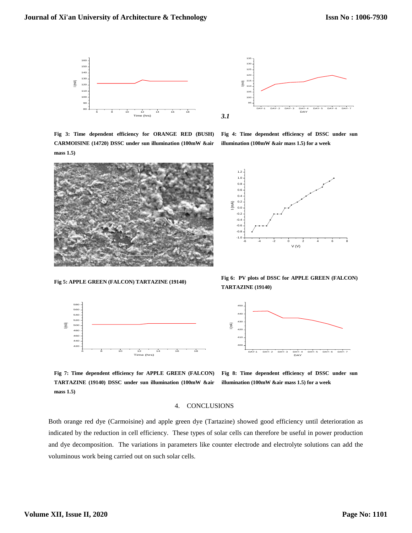



**Fig 3: Time dependent efficiency for ORANGE RED (BUSH) CARMOISINE (14720) DSSC under sun illumination (100mW &air mass 1.5)**



**Fig 5: APPLE GREEN (FALCON) TARTAZINE (19140)**



**Fig 4: Time dependent efficiency of DSSC under sun illumination (100mW &air mass 1.5) for a week** 



**Fig 6: PV plots of DSSC for APPLE GREEN (FALCON) TARTAZINE (19140)**



**Fig 7: Time dependent efficiency for APPLE GREEN (FALCON) TARTAZINE (19140) DSSC under sun illumination (100mW &air illumination (100mW &air mass 1.5) for a week mass 1.5)**

**Fig 8: Time dependent efficiency of DSSC under sun** 

### 4. CONCLUSIONS

Both orange red dye (Carmoisine) and apple green dye (Tartazine) showed good efficiency until deterioration as indicated by the reduction in cell efficiency. These types of solar cells can therefore be useful in power production and dye decomposition. The variations in parameters like counter electrode and electrolyte solutions can add the voluminous work being carried out on such solar cells.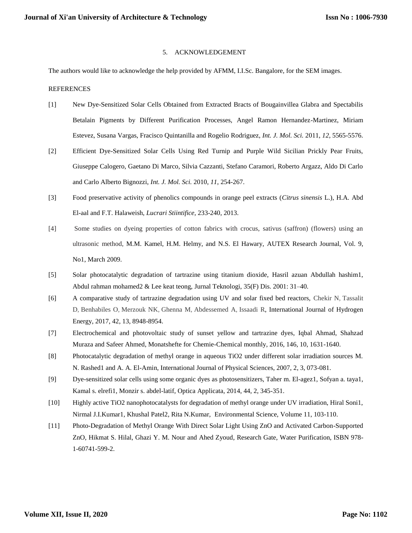# 5. ACKNOWLEDGEMENT

The authors would like to acknowledge the help provided by AFMM, I.I.Sc. Bangalore, for the SEM images.

## REFERENCES

- [1] New Dye-Sensitized Solar Cells Obtained from Extracted Bracts of Bougainvillea Glabra and Spectabilis Betalain Pigments by Different Purification Processes, Angel Ramon Hernandez-Martinez, Miriam Estevez, Susana Vargas, Fracisco Quintanilla and Rogelio Rodriguez, *Int. J. Mol. Sci.* 2011, *12*, 5565-5576.
- [2] Efficient Dye-Sensitized Solar Cells Using Red Turnip and Purple Wild Sicilian Prickly Pear Fruits, Giuseppe Calogero, Gaetano Di Marco, Silvia Cazzanti, Stefano Caramori, Roberto Argazz, Aldo Di Carlo and Carlo Alberto Bignozzi, *Int. J. Mol. Sci.* 2010, *11*, 254-267.
- [3] Food preservative activity of phenolics compounds in orange peel extracts (*Citrus sinensis* L.), H.A. Abd El-aal and F.T. Halaweish, *Lucrari Stiintifice,* 233-240, 2013.
- [4] Some studies on dyeing properties of cotton fabrics with crocus, sativus (saffron) (flowers) using an ultrasonic method, M.M. Kamel, H.M. Helmy, and N.S. El Hawary, AUTEX Research Journal, Vol. 9, No1, March 2009.
- [5] Solar photocatalytic degradation of tartrazine using titanium dioxide, Hasril azuan Abdullah hashim1, Abdul rahman mohamed2 & Lee keat teong, Jurnal Teknologi, 35(F) Dis. 2001: 31–40.
- [6] A comparative study of tartrazine degradation using UV and solar fixed bed reactors, [Chekir N,](https://www.cheric.org/research/tech/periodicals/searchresult.php?articlesearch=Chekir%20N&searchtype=author) [Tassalit](https://www.cheric.org/research/tech/periodicals/searchresult.php?articlesearch=Tassalit%20D&searchtype=author)  [D,](https://www.cheric.org/research/tech/periodicals/searchresult.php?articlesearch=Tassalit%20D&searchtype=author) [Benhabiles O,](https://www.cheric.org/research/tech/periodicals/searchresult.php?articlesearch=Benhabiles%20O&searchtype=author) [Merzouk NK,](https://www.cheric.org/research/tech/periodicals/searchresult.php?articlesearch=Merzouk%20NK&searchtype=author) [Ghenna M,](https://www.cheric.org/research/tech/periodicals/searchresult.php?articlesearch=Ghenna%20M&searchtype=author) [Abdessemed A,](https://www.cheric.org/research/tech/periodicals/searchresult.php?articlesearch=Abdessemed%20A&searchtype=author) [Issaadi R,](https://www.cheric.org/research/tech/periodicals/searchresult.php?articlesearch=Issaadi%20R&searchtype=author) International Journal of Hydrogen Energy, 2017, 42, 13, 8948-8954.
- [7] Electrochemical and photovoltaic study of sunset yellow and tartrazine dyes, Iqbal Ahmad, Shahzad Muraza and Safeer Ahmed, Monatshefte for Chemie-Chemical monthly, 2016, 146, 10, 1631-1640.
- [8] Photocatalytic degradation of methyl orange in aqueous TiO2 under different solar irradiation sources M. N. Rashed1 and A. A. El-Amin, International Journal of Physical Sciences, 2007, 2, 3, 073-081.
- [9] Dye-sensitized solar cells using some organic dyes as photosensitizers, Taher m. El-agez1, Sofyan a. taya1, Kamal s. elrefi1, Monzir s. abdel-latif, Optica Applicata, 2014, 44, 2, 345-351.
- [10] Highly active TiO2 nanophotocatalysts for degradation of methyl orange under UV irradiation, Hiral Soni1, Nirmal J.I.Kumar1, Khushal Patel2, Rita N.Kumar, Environmental Science, Volume 11, 103-110.
- [11] Photo-Degradation of Methyl Orange With Direct Solar Light Using ZnO and Activated Carbon-Supported ZnO, Hikmat S. Hilal, Ghazi Y. M. Nour and Ahed Zyoud, Research Gate, Water Purification, ISBN 978- 1-60741-599-2.